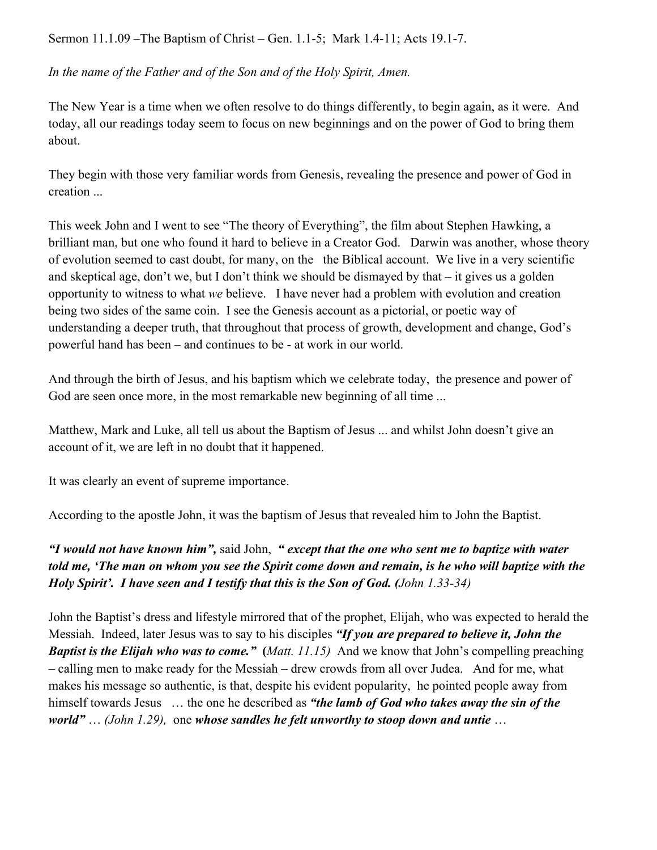Sermon 11.1.09 –The Baptism of Christ – Gen. 1.1-5; Mark 1.4-11; Acts 19.1-7.

*In the name of the Father and of the Son and of the Holy Spirit, Amen.*

The New Year is a time when we often resolve to do things differently, to begin again, as it were. And today, all our readings today seem to focus on new beginnings and on the power of God to bring them about.

They begin with those very familiar words from Genesis, revealing the presence and power of God in creation ...

This week John and I went to see "The theory of Everything", the film about Stephen Hawking, a brilliant man, but one who found it hard to believe in a Creator God. Darwin was another, whose theory of evolution seemed to cast doubt, for many, on the the Biblical account. We live in a very scientific and skeptical age, don't we, but I don't think we should be dismayed by that  $-$  it gives us a golden opportunity to witness to what *we* believe. I have never had a problem with evolution and creation being two sides of the same coin. I see the Genesis account as a pictorial, or poetic way of understanding a deeper truth, that throughout that process of growth, development and change, God's powerful hand has been – and continues to be - at work in our world.

And through the birth of Jesus, and his baptism which we celebrate today, the presence and power of God are seen once more, in the most remarkable new beginning of all time ...

Matthew, Mark and Luke, all tell us about the Baptism of Jesus ... and whilst John doesn't give an account of it, we are left in no doubt that it happened.

It was clearly an event of supreme importance.

According to the apostle John, it was the baptism of Jesus that revealed him to John the Baptist.

*"I would not have known him",* said John, *" except that the one who sent me to baptize with water told me, 'The man on whom you see the Spirit come down and remain, is he who will baptize with the Holy Spirit'. I have seen and I testify that this is the Son of God. (John 1.33-34)*

John the Baptist's dress and lifestyle mirrored that of the prophet, Elijah, who was expected to herald the Messiah. Indeed, later Jesus was to say to his disciples *"If you are prepared to believe it, John the Baptist is the Elijah who was to come."* **(***Matt. 11.15)* And we know that John's compelling preaching – calling men to make ready for the Messiah – drew crowds from all over Judea. And for me, what makes his message so authentic, is that, despite his evident popularity, he pointed people away from himself towards Jesus … the one he described as *"the lamb of God who takes away the sin of the world"* … *(John 1.29),* one *whose sandles he felt unworthy to stoop down and untie* …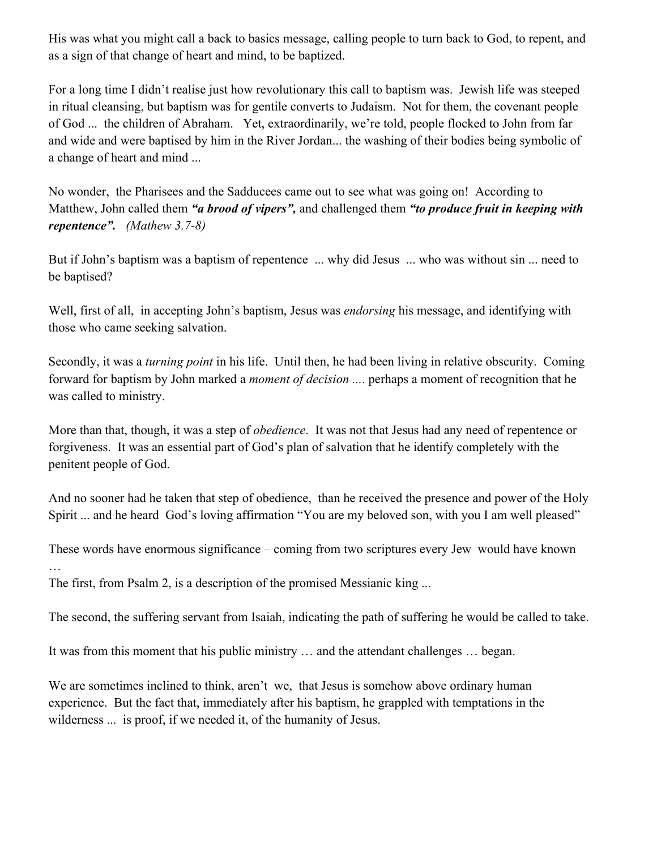His was what you might call a back to basics message, calling people to turn back to God, to repent, and as a sign of that change of heart and mind, to be baptized.

For a long time I didn't realise just how revolutionary this call to baptism was. Jewish life was steeped in ritual cleansing, but baptism was for gentile converts to Judaism. Not for them, the covenant people of God ... the children of Abraham. Yet, extraordinarily, we're told, people flocked to John from far and wide and were baptised by him in the River Jordan... the washing of their bodies being symbolic of a change of heart and mind ...

No wonder, the Pharisees and the Sadducees came out to see what was going on! According to Matthew, John called them *"a brood of vipers",* and challenged them *"to produce fruit in keeping with repentence". (Mathew 3.7-8)*

But if John's baptism was a baptism of repentence ... why did Jesus ... who was without sin ... need to be baptised?

Well, first of all, in accepting John's baptism, Jesus was *endorsing* his message, and identifying with those who came seeking salvation.

Secondly, it was a *turning point* in his life. Until then, he had been living in relative obscurity. Coming forward for baptism by John marked a *moment of decision ...*. perhaps a moment of recognition that he was called to ministry.

More than that, though, it was a step of *obedience*. It was not that Jesus had any need of repentence or forgiveness. It was an essential part of God's plan of salvation that he identify completely with the penitent people of God.

And no sooner had he taken that step of obedience, than he received the presence and power of the Holy Spirit ... and he heard God's loving affirmation "You are my beloved son, with you I am well pleased"

These words have enormous significance – coming from two scriptures every Jew would have known …

The first, from Psalm 2, is a description of the promised Messianic king ...

The second, the suffering servant from Isaiah, indicating the path of suffering he would be called to take.

It was from this moment that his public ministry … and the attendant challenges … began.

We are sometimes inclined to think, aren't we, that Jesus is somehow above ordinary human experience. But the fact that, immediately after his baptism, he grappled with temptations in the wilderness ... is proof, if we needed it, of the humanity of Jesus.